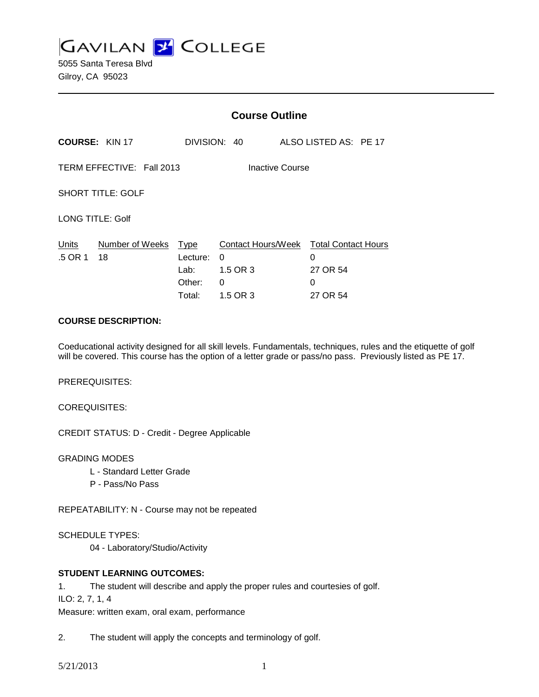**GAVILAN L'OLLEGE** 

5055 Santa Teresa Blvd Gilroy, CA 95023

|                                              |                       | <b>Course Outline</b>                        |                                                                          |  |                                |  |  |
|----------------------------------------------|-----------------------|----------------------------------------------|--------------------------------------------------------------------------|--|--------------------------------|--|--|
|                                              | <b>COURSE: KIN 17</b> |                                              | DIVISION: 40                                                             |  | ALSO LISTED AS: PE 17          |  |  |
| TERM EFFECTIVE: Fall 2013<br>Inactive Course |                       |                                              |                                                                          |  |                                |  |  |
| <b>SHORT TITLE: GOLF</b>                     |                       |                                              |                                                                          |  |                                |  |  |
| LONG TITLE: Golf                             |                       |                                              |                                                                          |  |                                |  |  |
| Units<br>.5 OR 1                             | Number of Weeks<br>18 | Type<br>Lecture:<br>Lab:<br>Other:<br>Total: | Contact Hours/Week Total Contact Hours<br>0<br>1.5 OR 3<br>0<br>1.5 OR 3 |  | 0<br>27 OR 54<br>0<br>27 OR 54 |  |  |

# **COURSE DESCRIPTION:**

Coeducational activity designed for all skill levels. Fundamentals, techniques, rules and the etiquette of golf will be covered. This course has the option of a letter grade or pass/no pass. Previously listed as PE 17.

PREREQUISITES:

COREQUISITES:

CREDIT STATUS: D - Credit - Degree Applicable

GRADING MODES

- L Standard Letter Grade
- P Pass/No Pass

REPEATABILITY: N - Course may not be repeated

SCHEDULE TYPES:

04 - Laboratory/Studio/Activity

# **STUDENT LEARNING OUTCOMES:**

- 1. The student will describe and apply the proper rules and courtesies of golf.
- ILO: 2, 7, 1, 4

Measure: written exam, oral exam, performance

2. The student will apply the concepts and terminology of golf.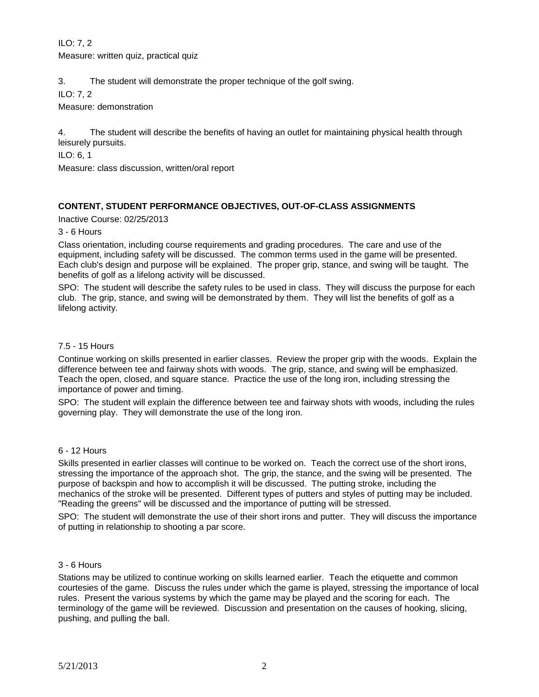ILO: 7, 2 Measure: written quiz, practical quiz

3. The student will demonstrate the proper technique of the golf swing.

ILO: 7, 2

Measure: demonstration

4. The student will describe the benefits of having an outlet for maintaining physical health through leisurely pursuits.

ILO: 6, 1

Measure: class discussion, written/oral report

# **CONTENT, STUDENT PERFORMANCE OBJECTIVES, OUT-OF-CLASS ASSIGNMENTS**

Inactive Course: 02/25/2013

# 3 - 6 Hours

Class orientation, including course requirements and grading procedures. The care and use of the equipment, including safety will be discussed. The common terms used in the game will be presented. Each club's design and purpose will be explained. The proper grip, stance, and swing will be taught. The benefits of golf as a lifelong activity will be discussed.

SPO: The student will describe the safety rules to be used in class. They will discuss the purpose for each club. The grip, stance, and swing will be demonstrated by them. They will list the benefits of golf as a lifelong activity.

# 7.5 - 15 Hours

Continue working on skills presented in earlier classes. Review the proper grip with the woods. Explain the difference between tee and fairway shots with woods. The grip, stance, and swing will be emphasized. Teach the open, closed, and square stance. Practice the use of the long iron, including stressing the importance of power and timing.

SPO: The student will explain the difference between tee and fairway shots with woods, including the rules governing play. They will demonstrate the use of the long iron.

# 6 - 12 Hours

Skills presented in earlier classes will continue to be worked on. Teach the correct use of the short irons, stressing the importance of the approach shot. The grip, the stance, and the swing will be presented. The purpose of backspin and how to accomplish it will be discussed. The putting stroke, including the mechanics of the stroke will be presented. Different types of putters and styles of putting may be included. "Reading the greens" will be discussed and the importance of putting will be stressed.

SPO: The student will demonstrate the use of their short irons and putter. They will discuss the importance of putting in relationship to shooting a par score.

# 3 - 6 Hours

Stations may be utilized to continue working on skills learned earlier. Teach the etiquette and common courtesies of the game. Discuss the rules under which the game is played, stressing the importance of local rules. Present the various systems by which the game may be played and the scoring for each. The terminology of the game will be reviewed. Discussion and presentation on the causes of hooking, slicing, pushing, and pulling the ball.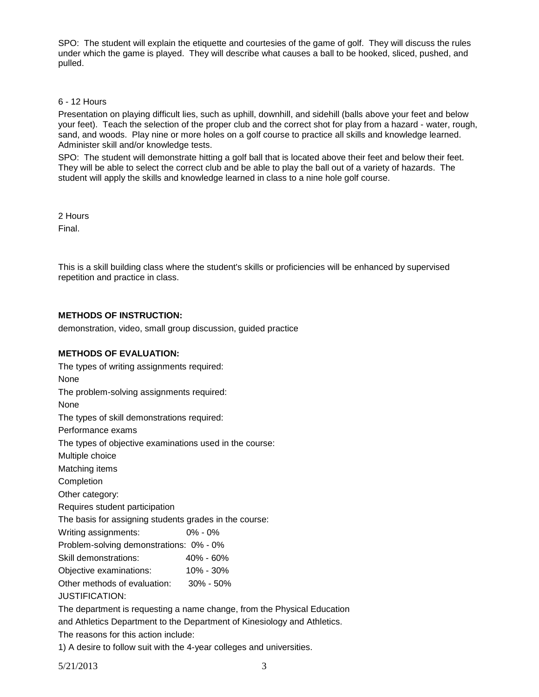SPO: The student will explain the etiquette and courtesies of the game of golf. They will discuss the rules under which the game is played. They will describe what causes a ball to be hooked, sliced, pushed, and pulled.

# 6 - 12 Hours

Presentation on playing difficult lies, such as uphill, downhill, and sidehill (balls above your feet and below your feet). Teach the selection of the proper club and the correct shot for play from a hazard - water, rough, sand, and woods. Play nine or more holes on a golf course to practice all skills and knowledge learned. Administer skill and/or knowledge tests.

SPO: The student will demonstrate hitting a golf ball that is located above their feet and below their feet. They will be able to select the correct club and be able to play the ball out of a variety of hazards. The student will apply the skills and knowledge learned in class to a nine hole golf course.

2 Hours

Final.

This is a skill building class where the student's skills or proficiencies will be enhanced by supervised repetition and practice in class.

# **METHODS OF INSTRUCTION:**

demonstration, video, small group discussion, guided practice

# **METHODS OF EVALUATION:**

| The types of writing assignments required:              |                                                                          |
|---------------------------------------------------------|--------------------------------------------------------------------------|
| <b>None</b>                                             |                                                                          |
| The problem-solving assignments required:               |                                                                          |
| <b>None</b>                                             |                                                                          |
| The types of skill demonstrations required:             |                                                                          |
| Performance exams                                       |                                                                          |
| The types of objective examinations used in the course: |                                                                          |
| Multiple choice                                         |                                                                          |
| Matching items                                          |                                                                          |
| Completion                                              |                                                                          |
| Other category:                                         |                                                                          |
| Requires student participation                          |                                                                          |
| The basis for assigning students grades in the course:  |                                                                          |
| Writing assignments:                                    | $0\% - 0\%$                                                              |
| Problem-solving demonstrations: 0% - 0%                 |                                                                          |
| Skill demonstrations:                                   | 40% - 60%                                                                |
| Objective examinations: 10% - 30%                       |                                                                          |
| Other methods of evaluation: 30% - 50%                  |                                                                          |
| <b>JUSTIFICATION:</b>                                   |                                                                          |
|                                                         | The department is requesting a name change, from the Physical Education  |
|                                                         | and Athletics Department to the Department of Kinesiology and Athletics. |
|                                                         |                                                                          |

The reasons for this action include:

1) A desire to follow suit with the 4-year colleges and universities.

5/21/2013 3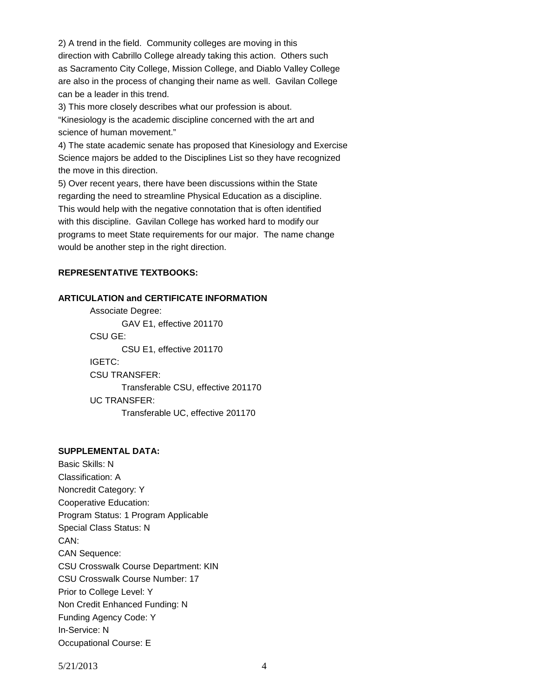2) A trend in the field. Community colleges are moving in this direction with Cabrillo College already taking this action. Others such as Sacramento City College, Mission College, and Diablo Valley College are also in the process of changing their name as well. Gavilan College can be a leader in this trend.

3) This more closely describes what our profession is about.

"Kinesiology is the academic discipline concerned with the art and science of human movement."

4) The state academic senate has proposed that Kinesiology and Exercise Science majors be added to the Disciplines List so they have recognized the move in this direction.

5) Over recent years, there have been discussions within the State regarding the need to streamline Physical Education as a discipline. This would help with the negative connotation that is often identified with this discipline. Gavilan College has worked hard to modify our programs to meet State requirements for our major. The name change would be another step in the right direction.

### **REPRESENTATIVE TEXTBOOKS:**

#### **ARTICULATION and CERTIFICATE INFORMATION**

Associate Degree: GAV E1, effective 201170 CSU GE: CSU E1, effective 201170 IGETC: CSU TRANSFER: Transferable CSU, effective 201170 UC TRANSFER: Transferable UC, effective 201170

#### **SUPPLEMENTAL DATA:**

Basic Skills: N Classification: A Noncredit Category: Y Cooperative Education: Program Status: 1 Program Applicable Special Class Status: N CAN: CAN Sequence: CSU Crosswalk Course Department: KIN CSU Crosswalk Course Number: 17 Prior to College Level: Y Non Credit Enhanced Funding: N Funding Agency Code: Y In-Service: N Occupational Course: E